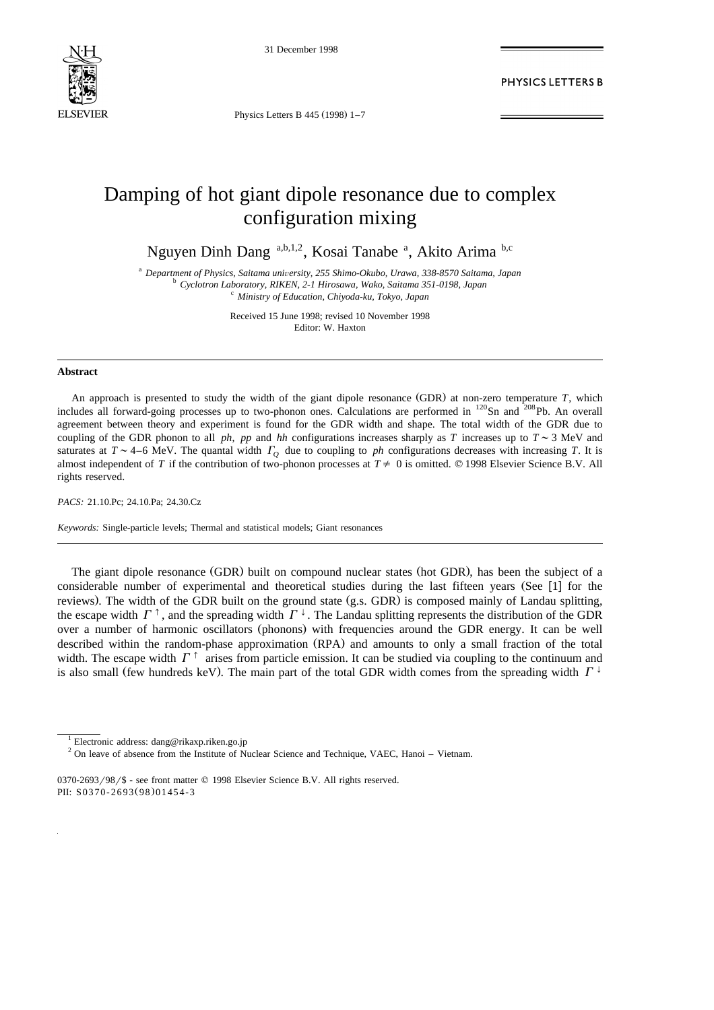

31 December 1998

PHYSICS LETTERS B

Physics Letters B  $445 (1998)$  1-7

## Damping of hot giant dipole resonance due to complex configuration mixing

Nguyen Dinh Dang a,b,1,2, Kosai Tanabe a, Akito Arima b,c

<sup>a</sup> Department of Physics, Saitama university, 255 Shimo-Okubo, Urawa, 338-8570 Saitama, Japan<br><sup>b</sup> Cyclotron Laboratory, RIKEN, 2-1 Hirosawa, Wako, Saitama 351-0198, Japan<br><sup>c</sup> Ministry of Education, Chiyoda-ku, Tokyo, Jap

Received 15 June 1998; revised 10 November 1998 Editor: W. Haxton

## **Abstract**

An approach is presented to study the width of the giant dipole resonance (GDR) at non-zero temperature T, which includes all forward-going processes up to two-phonon ones. Calculations are performed in <sup>120</sup>Sn and <sup>208</sup>Pb. An overall agreement between theory and experiment is found for the GDR width and shape. The total width of the GDR due to coupling of the GDR phonon to all *ph*, *pp* and *hh* configurations increases sharply as *T* increases up to  $T \sim 3$  MeV and saturates at  $T \sim 4-6$  MeV. The quantal width  $\Gamma$ <sup>0</sup> due to coupling to *ph* configurations decreases with increasing *T*. It is almost independent of *T* if the contribution of two-phonon processes at  $T \neq 0$  is omitted. © 1998 Elsevier Science B.V. All rights reserved.

*PACS:* 21.10.Pc; 24.10.Pa; 24.30.Cz

*Keywords:* Single-particle levels; Thermal and statistical models; Giant resonances

The giant dipole resonance (GDR) built on compound nuclear states (hot GDR), has been the subject of a considerable number of experimental and theoretical studies during the last fifteen years (See [1] for the reviews). The width of the GDR built on the ground state (g.s. GDR) is composed mainly of Landau splitting, the escape width  $\Gamma^{\dagger}$ , and the spreading width  $\Gamma^{\dagger}$ . The Landau splitting represents the distribution of the GDR over a number of harmonic oscillators (phonons) with frequencies around the GDR energy. It can be well described within the random-phase approximation (RPA) and amounts to only a small fraction of the total width. The escape width  $\Gamma^{\dagger}$  arises from particle emission. It can be studied via coupling to the continuum and is also small (few hundreds keV). The main part of the total GDR width comes from the spreading width  $\Gamma^{\downarrow}$ 

 $0370-2693/98$  - see front matter  $\odot$  1998 Elsevier Science B.V. All rights reserved. PII: S0370-2693(98)01454-3

<sup>&</sup>lt;sup>1</sup> Electronic address: dang@rikaxp.riken.go.jp

 $2$  On leave of absence from the Institute of Nuclear Science and Technique, VAEC, Hanoi – Vietnam.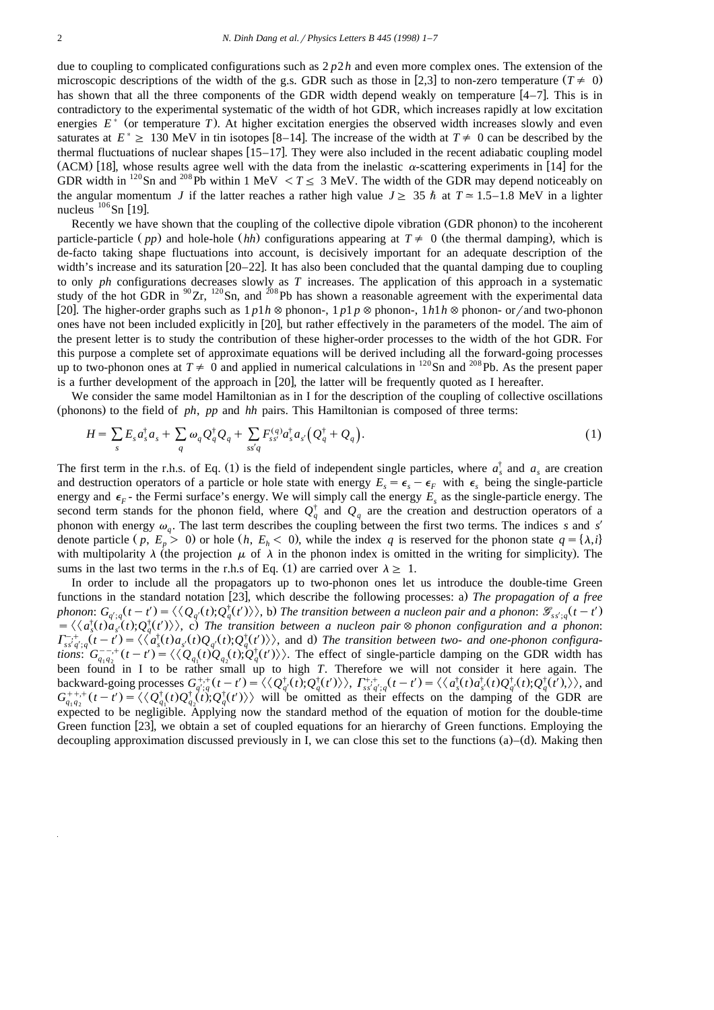due to coupling to complicated configurations such as 2 *p*2*h* and even more complex ones. The extension of the microscopic descriptions of the width of the g.s. GDR such as those in [2,3] to non-zero temperature ( $T \neq 0$ ) has shown that all the three components of the GDR width depend weakly on temperature  $[4-7]$ . This is in contradictory to the experimental systematic of the width of hot GDR, which increases rapidly at low excitation energies  $E^*$  (or temperature *T*). At higher excitation energies the observed width increases slowly and even saturates at  $E^* \ge 130$  MeV in tin isotopes [8–14]. The increase of the width at  $T \ne 0$  can be described by the thermal fluctuations of nuclear shapes  $[15-17]$ . They were also included in the recent adiabatic coupling model (ACM) [18], whose results agree well with the data from the inelastic  $\alpha$ -scattering experiments in [14] for the GDR width in <sup>120</sup>Sn and <sup>208</sup>Pb within 1 MeV <  $T \le 3$  MeV. The width of the GDR may depend noticeably on the angular momentum *J* if the latter reaches a rather high value  $J \geq 35 \hbar$  at  $T \approx 1.5-1.8$  MeV in a lighter nucleus <sup>106</sup> Sn [19].

Recently we have shown that the coupling of the collective dipole vibration (GDR phonon) to the incoherent particle-particle (pp) and hole-hole (hh) configurations appearing at  $T \neq 0$  (the thermal damping), which is de-facto taking shape fluctuations into account, is decisively important for an adequate description of the width's increase and its saturation  $[20-22]$ . It has also been concluded that the quantal damping due to coupling to only *ph* configurations decreases slowly as *T* increases. The application of this approach in a systematic study of the hot GDR in  ${}^{90}Zr$ ,  ${}^{120}Sn$ , and  ${}^{208}Pb$  has shown a reasonable agreement with the experimental data [20]. The higher-order graphs such as  $1 p1 h \otimes$  phonon-,  $1 p1 p \otimes$  phonon-,  $1 h1 h \otimes$  phonon- or / and two-phonon ones have not been included explicitly in [20], but rather effectively in the parameters of the model. The aim of the present letter is to study the contribution of these higher-order processes to the width of the hot GDR. For this purpose a complete set of approximate equations will be derived including all the forward-going processes up to two-phonon ones at  $T \neq 0$  and applied in numerical calculations in <sup>120</sup>Sn and <sup>208</sup>Pb. As the present paper is a further development of the approach in  $[20]$ , the latter will be frequently quoted as I hereafter.

We consider the same model Hamiltonian as in I for the description of the coupling of collective oscillations (phonons) to the field of *ph*, *pp* and *hh* pairs. This Hamiltonian is composed of three terms:

$$
H = \sum_{s} E_s a_s^{\dagger} a_s + \sum_{q} \omega_q Q_q^{\dagger} Q_q + \sum_{ss'q} F_{ss'}^{(q)} a_s^{\dagger} a_{s'} \left( Q_q^{\dagger} + Q_q \right). \tag{1}
$$

The first term in the r.h.s. of Eq. (1) is the field of independent single particles, where  $a_x^{\dagger}$  and  $a_x$  are creation and destruction operators of a particle or hole state with energy  $E_s = \epsilon_s - \epsilon_F$  with  $\epsilon_s$  being the single-particle energy and  $\epsilon_F$ - the Fermi surface's energy. We will simply call the energy  $E_s$  as the single-particle energy. The second term stands for the phonon field, where  $Q_q^{\dagger}$  and  $Q_q$  are the creation and destruction operators of a phonon with energy  $\omega_q$ . The last term describes the coupling between the first two terms. The indices *s* and *s' q* denote particle  $(p, E_n > 0)$  or hole  $(h, E_h < 0)$ , while the index *q* is reserved for the phonon state  $q = {\lambda, i}$ with multipolarity  $\lambda$  (the projection  $\mu$  of  $\lambda$  in the phonon index is omitted in the writing for simplicity). The sums in the last two terms in the r.h.s of Eq. (1) are carried over  $\lambda \geq 1$ .

In order to include all the propagators up to two-phonon ones let us introduce the double-time Green functions in the standard notation [23], which describe the following processes: a) The propagation of a free phonon:  $G_{q',q}(t-t') = \langle \langle Q_{q'}(t); Q_q^{\dagger}(t') \rangle \rangle$ , b) The transition between a nucleon pair and a phonon:  $\mathcal{G}_{s s',q}(t-t')$  $\vec{Z} = \langle \langle a_s^{\dagger}(t) a_{s'}^{\dagger}(t); Q_q^{\dagger}(t') \rangle \rangle$ , c) The transition between a nucleon pair  $\otimes$  phonon configuration and a phonon:  $\Gamma_{s \dot{s'} a'; a}^{-1} (t-t') = \langle \langle a_s^{\dagger}(t) a_{s'}(t) Q_{a'}(t); Q_a^{\dagger}(t') \rangle \rangle$ , and d) The transition betwee  $\Gamma_{s_3'q';q}^{-+}(t-t') = \langle \langle a_s^{\dagger}(t)a_{s'}(t)Q_{q'}(t);Q_q^{\dagger}(t') \rangle \rangle$ , and d) The transition between two- and one-phonon configurations:  $G_{a_1a_2}^{-+}(t-t') = \langle \langle Q_a(t)Q_{a_3}(t);Q_a^{\dagger}(t') \rangle \rangle$ . The effect of single-particle damping on the tions:  $G_{q_1q_2}^{(-,+}(t-t') = \langle \langle Q_{q_1}(t)Q_{q_2}(t), Q_q^{\dagger}(t') \rangle \rangle$ . The effect of single-particle damping on the GDR width has been found in I to be rather small up to high T. Therefore we will not consider it here again. The been found in I to be rather small up to high *T*. Therefore we will not consider it here again. The backward-going processes  $G_{q';q}^{+,+}(t-t') = \langle \langle Q_{q'}^{\dagger}(t); Q_{q}^{\dagger}(t') \rangle \rangle$ ,  $\Gamma_{ss'q';q}^{+,+}(t-t') = \langle \langle a_s^{\dagger}(t) a_{s'}^{\dagger}(t) Q_{q'}^$ backward-going processes  $G_{q';q}^{+,+}(t-t') = \langle \langle Q_q^{\dagger}(t), Q_q^{\dagger}(t') \rangle \rangle$ ,  $\Gamma_{ss'q';q}^{+,+}(t-t') = \langle \langle a_s^{\dagger}(t) a_{s'}^{\dagger}(t) Q_q^{\dagger}(t), Q_q^{\dagger}(t') \rangle \rangle$ , and  $G_{q_1q_2}^{+,+}(t-t') = \langle \langle Q_{q_1}^{\dagger}(t) Q_{q_2}^{\dagger}(t), Q_q^{\dagger}(t') \rangle \rangle$  will be omitted as expected to be negligible. Applying now the standard method of the equation of motion for the double-time Green function [23], we obtain a set of coupled equations for an hierarchy of Green functions. Employing the decoupling approximation discussed previously in I, we can close this set to the functions  $(a)$ – $(d)$ . Making then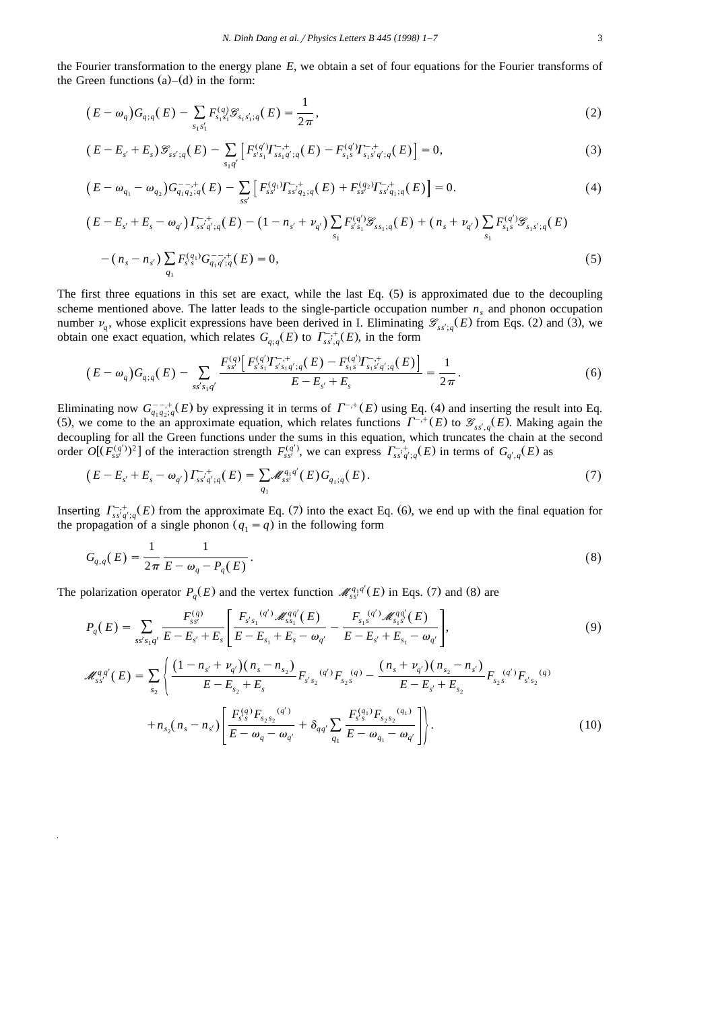the Fourier transformation to the energy plane *E*, we obtain a set of four equations for the Fourier transforms of the Green functions  $(a)$ – $(d)$  in the form:

$$
(E - \omega_q)G_{q;q}(E) - \sum_{s_1s'_1} F_{s_1s'_1}^{(q)} \mathcal{G}_{s_1s'_1;q}(E) = \frac{1}{2\pi},
$$
\n(2)

$$
(E - E_{s'} + E_s) \mathcal{G}_{ss';q}(E) - \sum_{s_1 q'} \left[ F_{s's_1}^{(q')} T_{ss_1 q';q}^{-,+}(E) - F_{s_1 s}^{(q')} T_{s_1 s'q';q}^{-,+}(E) \right] = 0, \tag{3}
$$

$$
(E - \omega_{q_1} - \omega_{q_2}) G_{q_1 q_2; q}^{-,-,+}(E) - \sum_{ss'} \left[ F_{ss'}^{(q_1)} T_{ss'q_2; q}^{-,+}(E) + F_{ss'}^{(q_2)} T_{ss'q_1; q}^{-,+}(E) \right] = 0.
$$
 (4)

$$
\begin{aligned}\n\left(E - E_{s'} + E_s - \omega_{q'}\right) \Gamma_{ss'q';q}^{-, +} (E) - \left(1 - n_{s'} + \nu_{q'}\right) \sum_{s_1} F_{s's_1}^{(q')} \mathcal{F}_{ss_1;q}(E) + \left(n_s + \nu_{q'}\right) \sum_{s_1} F_{s_1s}^{(q')} \mathcal{F}_{s_1s';q}(E) \\
-\left(n_s - n_{s'}\right) \sum_{q_1} F_{s's}^{(q_1)} G_{q_1q';q}^{-, +} (E) = 0,\n\end{aligned} \tag{5}
$$

The first three equations in this set are exact, while the last Eq.  $(5)$  is approximated due to the decoupling scheme mentioned above. The latter leads to the single-particle occupation number  $n_s$  and phonon occupation number  $\nu_q$ , whose explicit expressions have been derived in I. Eliminating  $\mathcal{G}_{ss';q}(E)$  from Eqs. (2) and (3), we obtain one exact equation, which relates  $G_{q,q}(E)$  to  $\Gamma^{-,+}_{ss',q}(E)$ , in the form

$$
(E - \omega_q)G_{q,q}(E) - \sum_{ss's_1q'} \frac{F_{ss'}^{(q)} \left[F_{s's_1}^{(q')} F_{s's_1q';q}^{(-, +)}(E) - F_{s_1s}^{(q')} F_{s_1s'q';q}^{(-, +)}(E)\right]}{E - E_{s'} + E_s} = \frac{1}{2\pi}.
$$
\n(6)

Eliminating now  $G_{a_1a_2a_3}^{-1}(E)$  by expressing it in terms of  $\Gamma^{-,+}(E)$  using Eq. (4) and inserting the result into Eq. (5), we come to the an approximate equation, which relates functions  $\Gamma^{-,+}(E)$  to  $\mathscr{G}_{ss',g}(E)$ . Making again the decoupling for all the Green functions under the sums in this equation, which truncates the chain at the second order  $O[(F_{ss'}^{(q')})^2]$  of the interaction strength  $F_{ss'}^{(q')}$ , we can express  $\Gamma_{ss'q';q}^{-,+}(E)$  in terms of  $G$ 

$$
(E - E_{s'} + E_s - \omega_{q'}) \Gamma_{ss'q';q}^{-,+}(E) = \sum_{q_1} \mathcal{M}_{ss'}^{q_1 q'}(E) G_{q_1;q}(E). \tag{7}
$$

Inserting  $\Gamma_{ss'q';q}^{-,+}(E)$  from the approximate Eq. (7) into the exact Eq. (6), we end up with the final equation for the propagation of a single phonon  $(q_1 = q)$  in the following form

$$
G_{q,q}(E) = \frac{1}{2\pi} \frac{1}{E - \omega_q - P_q(E)}.
$$
\n(8)

The polarization operator  $P_q(E)$  and the vertex function  $\mathcal{M}_{ss'}^{q_1 q'}(E)$  in Eqs. (7) and (8) are

$$
P_q(E) = \sum_{ss's_1q'} \frac{F_{ss'}^{(q)}}{E - E_{s'} + E_s} \left[ \frac{F_{s's_1}^{(q')} \mathcal{M}_{ss_1}^{qq'}(E)}{E - E_{s_1} + E_s - \omega_{q'}} - \frac{F_{s_1s}^{(q')} \mathcal{M}_{s_1s'}^{qq'}(E)}{E - E_{s'} + E_{s_1} - \omega_{q'}} \right],
$$
(9)

$$
\mathcal{M}_{ss'}^{q,q'}(E) = \sum_{s_2} \left\{ \frac{\left(1 - n_{s'} + \nu_{q'}\right)\left(n_s - n_{s_2}\right)}{E - E_{s_2} + E_s} F_{s's_2}^{(q')} F_{s_2s}^{(q')} F_{s_2s}^{(q)} - \frac{\left(n_s + \nu_{q'}\right)\left(n_{s_2} - n_{s'}\right)}{E - E_{s'} + E_{s_2}} F_{s_2s}^{(q')} F_{s's_2}^{(q)}
$$

$$
+ n_{s_2}\left(n_s - n_{s'}\right) \left[ \frac{F_{s's}^{(q)}F_{s_2s_2}^{(q')}}{E - \omega_q - \omega_{q'}} + \delta_{qq'} \sum_{q_1} \frac{F_{s's}^{(q_1)}F_{s_2s_2}^{(q_1)}}{E - \omega_{q_1} - \omega_{q'}} \right] \right\}.
$$
(10)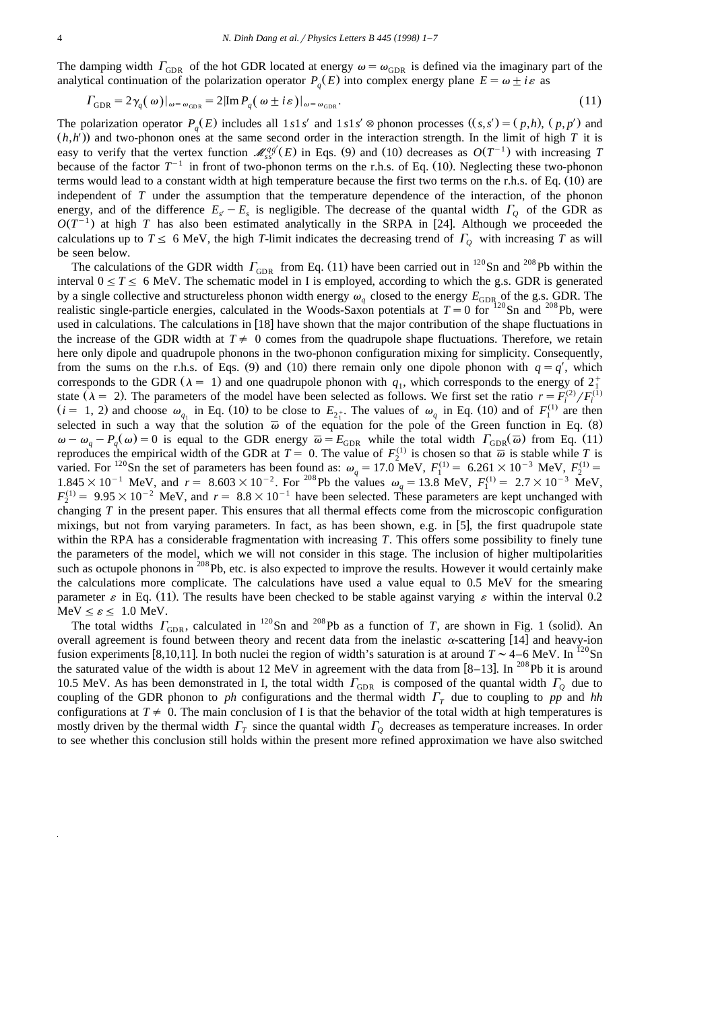The damping width  $\Gamma_{\text{GDR}}$  of the hot GDR located at energy  $\omega = \omega_{\text{GDR}}$  is defined via the imaginary part of the analytical continuation of the polarization operator  $P_a(E)$  into complex energy plane  $E = \omega \pm i\varepsilon$  as

$$
\Gamma_{\text{GDR}} = 2\gamma_q(\omega)|_{\omega = \omega_{\text{GDR}}} = 2|\text{Im}\,P_q(\omega \pm i\varepsilon)|_{\omega = \omega_{\text{GDR}}}.\tag{11}
$$

The polarization operator  $P_q(E)$  includes all 1*s*1*s'* and 1*s*1*s'*  $\otimes$  phonon processes  $((s, s') = (p, h), (p, p')$  and  $(h,h')$  and two-phonon ones at the same second order in the interaction strength. In the limit of high *T* it is easy to verify that the vertex function  $\mathcal{M}_{\gamma\gamma'}^{qq'}(E)$  in Eqs. (9) and (10) decreases as  $O(T^{-1})$  with increasing T because of the factor  $T^{-1}$  in front of two-phonon terms on the r.h.s. of Eq. (10). Neglecting these two-phonon terms would lead to a constant width at high temperature because the first two terms on the r.h.s. of Eq. (10) are independent of *T* under the assumption that the temperature dependence of the interaction, of the phonon energy, and of the difference  $E_s - E_s$  is negligible. The decrease of the quantal width  $\Gamma_0$  of the GDR as  $O(T^{-1})$  at high *T* has also been estimated analytically in the SRPA in [24]. Although we proceeded the calculations up to  $T \le 6$  MeV, the high *T*-limit indicates the decreasing trend of  $\Gamma$ <sub>O</sub> with increasing *T* as will be seen below.

The calculations of the GDR width  $\Gamma_{\text{GDR}}$  from Eq. (11) have been carried out in <sup>120</sup>Sn and <sup>208</sup>Pb within the interval  $0 \le T \le 6$  MeV. The schematic model in I is employed, according to which the g.s. GDR is generated by a single collective and structureless phonon width energy  $\omega_a$  closed to the energy  $E_{\text{GDR}}$  of the g.s. GDR. The realistic single-particle energies, calculated in the Woods-Saxon potentials at  $T = 0$  for  $120$ Sn and  $208$ Pb, were used in calculations. The calculations in [18] have shown that the major contribution of the shape fluctuations in the increase of the GDR width at  $T \neq 0$  comes from the quadrupole shape fluctuations. Therefore, we retain here only dipole and quadrupole phonons in the two-phonon configuration mixing for simplicity. Consequently, from the sums on the r.h.s. of Eqs. (9) and (10) there remain only one dipole phonon with  $q = q'$ , which corresponds to the GDR ( $\lambda = 1$ ) and one quadrupole phonon with  $q_1$ , which corresponds to the energy of  $2^+_1$ state ( $\lambda = 2$ ). The parameters of the model have been selected as follows. We first set the ratio  $r = F_i^{(2)}/F_i^{(1)}$  $(i = 1, 2)$  and choose  $\omega_{q_i}$  in Eq. (10) to be close to  $E_{2i}$ . The values of  $\omega_q$  in Eq. (10) and of  $F_1^{(1)}$  are then selected in such a way that the solution  $\bar{\omega}$  of the equation for the pole of the Green function in Eq. (8)  $\omega - \omega_a - P_a(\omega) = 0$  is equal to the GDR energy  $\overline{\omega} = E_{\text{GDR}}$  while the total width  $\Gamma_{\text{GDR}}(\overline{\omega})$  from Eq. (11) reproduces the empirical width of the GDR at  $T = 0$ . The value of  $F_2^{(1)}$  is chosen so that  $\overline{\omega}$  is stable while *T* is varied. For <sup>120</sup>Sn the set of parameters has been found as:  $\omega_q = 17.0$  MeV,  $F_1^{(1)} = 6.261 \times 10^{-3}$  MeV,  $F_2^{(1)} = 1.845 \times 10^{-1}$  MeV, and  $r = 8.603 \times 10^{-2}$ . For <sup>208</sup>Pb the values  $\omega_q = 13.8$  MeV,  $F_1^{(1)} = 2.7 \times 10^{ F_2^{(1)} = 9.95 \times 10^{-2}$  MeV, and  $r = 8.8 \times 10^{-1}$  have been selected. These parameters are kept unchanged with changing *T* in the present paper. This ensures that all thermal effects come from the microscopic configuration mixings, but not from varying parameters. In fact, as has been shown, e.g. in  $[5]$ , the first quadrupole state within the RPA has a considerable fragmentation with increasing *T*. This offers some possibility to finely tune the parameters of the model, which we will not consider in this stage. The inclusion of higher multipolarities such as octupole phonons in <sup>208</sup>Pb, etc. is also expected to improve the results. However it would certainly make the calculations more complicate. The calculations have used a value equal to 0.5 MeV for the smearing parameter  $\varepsilon$  in Eq. (11). The results have been checked to be stable against varying  $\varepsilon$  within the interval 0.2 MeV  $\leq \varepsilon \leq 1.0$  MeV.<br>The total widths  $\Gamma_{\text{GDR}}$ , calculated in <sup>120</sup>Sn and <sup>208</sup>Pb as a function of *T*, are shown in Fig. 1 (solid). An

overall agreement is found between theory and recent data from the inelastic  $\alpha$ -scattering [14] and heavy-ion fusion experiments [8,10,11]. In both nuclei the region of width's saturation is at around  $\overline{T} \sim 4-6$  MeV. In <sup>120</sup>Sn the saturated value of the width is about 12 MeV in agreement with the data from  $[8-13]$ . In <sup>208</sup>Pb it is around 10.5 MeV. As has been demonstrated in I, the total width  $\Gamma_{\text{GDR}}$  is composed of the quantal width  $\Gamma_{\text{Q}}$  due to coupling of the GDR phonon to *ph* configurations and the thermal width  $\Gamma$ <sup>T</sup> due to coupling to pp and *hh* configurations at  $T \neq 0$ . The main conclusion of I is that the behavior of the total width at high temperatures is mostly driven by the thermal width  $\Gamma_T$  since the quantal width  $\Gamma_Q$  decreases as temperature increases. In order to see whether this conclusion still holds within the present more refined approximation we have also switched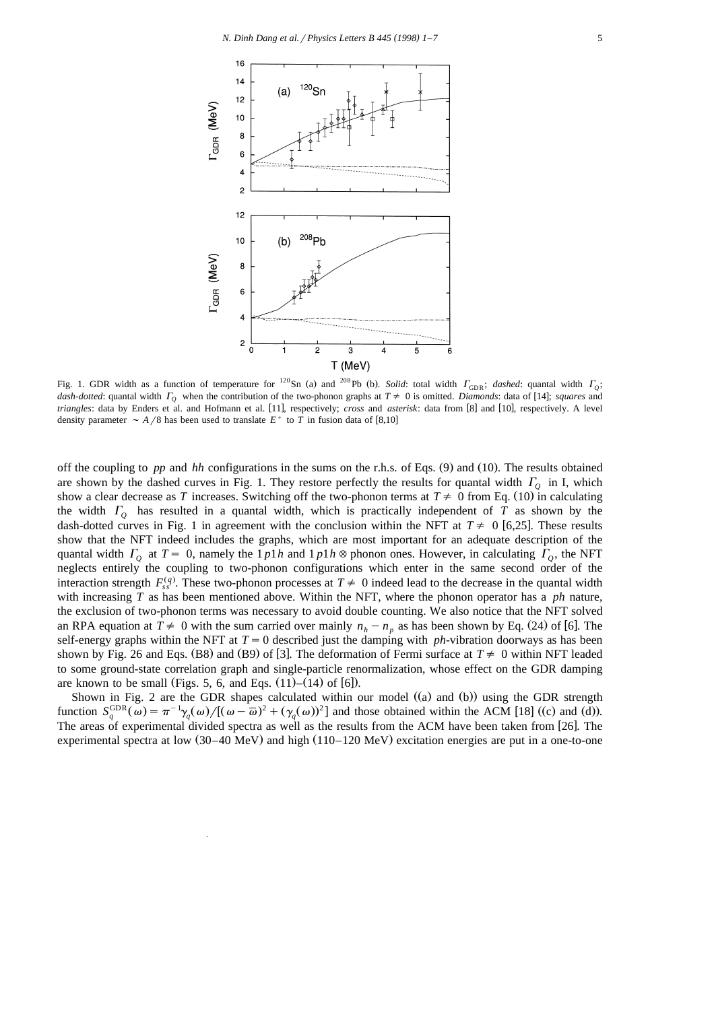

Fig. 1. GDR width as a function of temperature for <sup>120</sup>Sn (a) and <sup>208</sup>Pb (b). Solid: total width  $\Gamma_{\text{GDR}}$ ; *dashed*: quantal width  $\Gamma_Q$ ; *dash-dotted*: quantal width  $\Gamma_0$  when the contribution of the two-phonon graphs at  $T \neq 0$  is omitted. *Diamonds*: data of [14]; *squares* and *triangles*: data by Enders et al. and Hofmann et al. [11], respectively; cross and *asterisk*: data from [8] and [10], respectively. A level density parameter  $\sim A/8$  has been used to translate  $E^*$  to *T* in fusion data of [8,10]

off the coupling to *pp* and *hh* configurations in the sums on the r.h.s. of Eqs. (9) and (10). The results obtained are shown by the dashed curves in Fig. 1. They restore perfectly the results for quantal width  $\Gamma$ <sub>Q</sub> in I, which show a clear decrease as *T* increases. Switching off the two-phonon terms at  $T \neq 0$  from Eq. (10) in calculating the width  $\Gamma$ <sub>O</sub> has resulted in a quantal width, which is practically independent of *T* as shown by the dash-dotted curves in Fig. 1 in agreement with the conclusion within the NFT at  $T \neq 0$  [6,25]. These results show that the NFT indeed includes the graphs, which are most important for an adequate description of the quantal width  $\Gamma$ <sup>0</sup> at  $T = 0$ , namely the 1 *p*1*h* and 1 *p*1*h*  $\otimes$  phonon ones. However, in calculating  $\Gamma$ <sup>0</sup>, the NFT neglects entirely the coupling to two-phonon configurations which enter in the same second order of the interaction strength  $F_{s,q}^{(q)}$ . These two-phonon processes at  $T \neq 0$  indeed lead to the decrease in the quantal width with increasing *T* as has been mentioned above. Within the NFT, where the phonon operator has a *ph* nature, the exclusion of two-phonon terms was necessary to avoid double counting. We also notice that the NFT solved an RPA equation at  $T \neq 0$  with the sum carried over mainly  $n_h - n_p$  as has been shown by Eq. (24) of [6]. The self-energy graphs within the NFT at  $T=0$  described just the damping with *ph*-vibration doorways as has been shown by Fig. 26 and Eqs. (B8) and (B9) of [3]. The deformation of Fermi surface at  $T \neq 0$  within NFT leaded to some ground-state correlation graph and single-particle renormalization, whose effect on the GDR damping are known to be small (Figs. 5, 6, and Eqs.  $(11)$ – $(14)$  of  $[6]$ ).

Shown in Fig. 2 are the GDR shapes calculated within our model  $($ a and  $($ b $)$ ) using the GDR strength function  $S_a^{\text{GDR}}(\omega) = \pi^{-1} \gamma_a(\omega) / [(\omega - \overline{\omega})^2 + (\gamma_a(\omega))^2]$  and those obtained within the ACM [18] ((c) and (d)). The areas of experimental divided spectra as well as the results from the ACM have been taken from [26]. The experimental spectra at low  $(30-40 \text{ MeV})$  and high  $(110-120 \text{ MeV})$  excitation energies are put in a one-to-one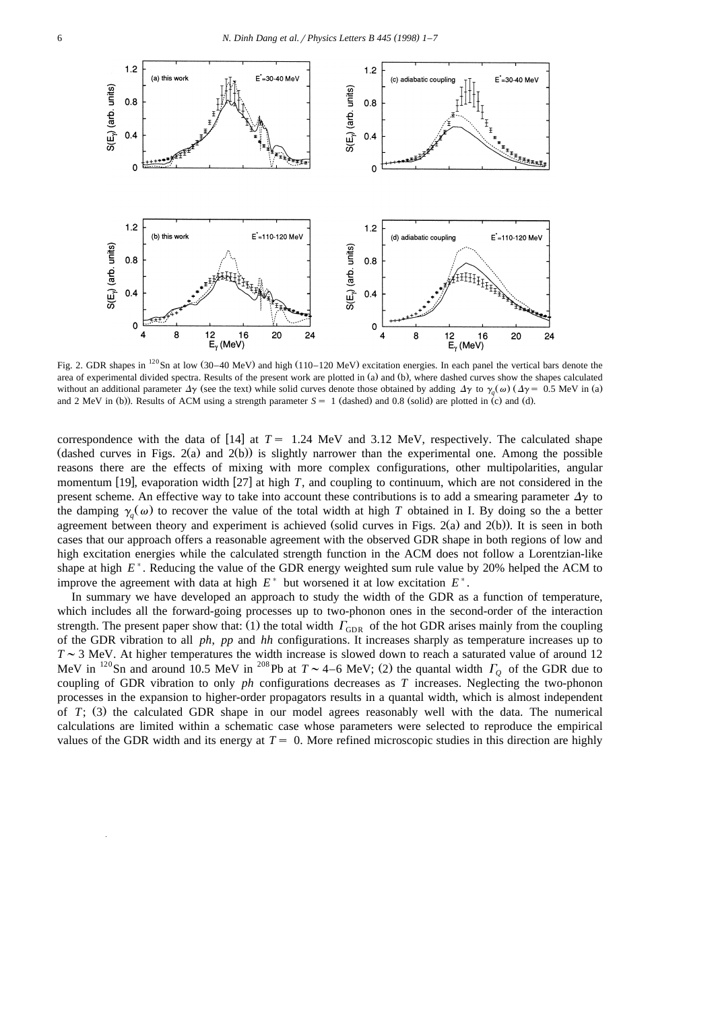

Fig. 2. GDR shapes in  $^{120}$ Sn at low (30–40 MeV) and high (110–120 MeV) excitation energies. In each panel the vertical bars denote the area of experimental divided spectra. Results of the present work are plotted in (a) and (b), where dashed curves show the shapes calculated without an additional parameter  $\Delta y$  (see the text) while solid curves denote those obtained by adding  $\Delta y$  to  $\gamma_o(\omega)$  ( $\Delta y = 0.5$  MeV in (a) and 2 MeV in (b)). Results of ACM using a strength parameter  $S = 1$  (dashed) and 0.8 (solid) are plotted in (c) and (d).

correspondence with the data of  $[14]$  at  $T = 1.24$  MeV and 3.12 MeV, respectively. The calculated shape (dashed curves in Figs.  $2(a)$  and  $2(b)$ ) is slightly narrower than the experimental one. Among the possible reasons there are the effects of mixing with more complex configurations, other multipolarities, angular momentum [19], evaporation width [27] at high T, and coupling to continuum, which are not considered in the present scheme. An effective way to take into account these contributions is to add a smearing parameter  $\Delta y$  to the damping  $\gamma_a(\omega)$  to recover the value of the total width at high *T* obtained in I. By doing so the a better agreement between theory and experiment is achieved (solid curves in Figs. 2(a) and 2(b)). It is seen in both cases that our approach offers a reasonable agreement with the observed GDR shape in both regions of low and high excitation energies while the calculated strength function in the ACM does not follow a Lorentzian-like shape at high  $E^*$ . Reducing the value of the GDR energy weighted sum rule value by 20% helped the ACM to improve the agreement with data at high  $E^*$  but worsened it at low excitation  $E^*$ .

In summary we have developed an approach to study the width of the GDR as a function of temperature, which includes all the forward-going processes up to two-phonon ones in the second-order of the interaction strength. The present paper show that: (1) the total width  $\Gamma_{\text{GDR}}$  of the hot GDR arises mainly from the coupling of the GDR vibration to all *ph*, *pp* and *hh* configurations. It increases sharply as temperature increases up to  $T \sim 3$  MeV. At higher temperatures the width increase is slowed down to reach a saturated value of around 12<br>MeV in <sup>120</sup>Sn and around 10.5 MeV in <sup>208</sup>Pb at  $T \sim 4-6$  MeV; (2) the quantal width  $\Gamma_0$  of the GDR due to coupling of GDR vibration to only *ph* configurations decreases as *T* increases. Neglecting the two-phonon processes in the expansion to higher-order propagators results in a quantal width, which is almost independent of *T*; (3) the calculated GDR shape in our model agrees reasonably well with the data. The numerical calculations are limited within a schematic case whose parameters were selected to reproduce the empirical values of the GDR width and its energy at  $T = 0$ . More refined microscopic studies in this direction are highly